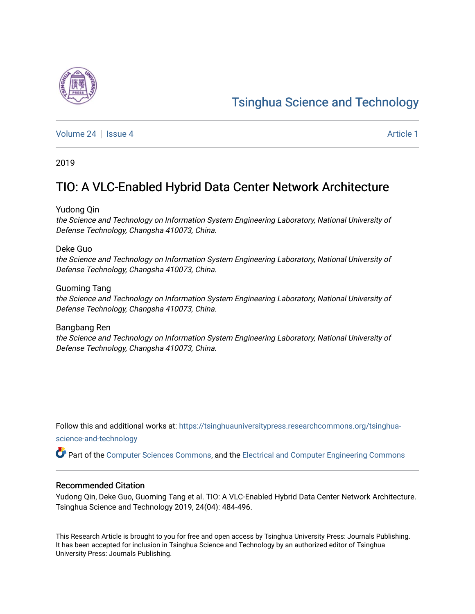# [Tsinghua Science and Technology](https://tsinghuauniversitypress.researchcommons.org/tsinghua-science-and-technology)

[Volume 24](https://tsinghuauniversitypress.researchcommons.org/tsinghua-science-and-technology/vol24) | [Issue 4](https://tsinghuauniversitypress.researchcommons.org/tsinghua-science-and-technology/vol24/iss4) Article 1

2019

# TIO: A VLC-Enabled Hybrid Data Center Network Architecture

Yudong Qin

the Science and Technology on Information System Engineering Laboratory, National University of Defense Technology, Changsha 410073, China.

# Deke Guo

the Science and Technology on Information System Engineering Laboratory, National University of Defense Technology, Changsha 410073, China.

Guoming Tang the Science and Technology on Information System Engineering Laboratory, National University of Defense Technology, Changsha 410073, China.

Bangbang Ren the Science and Technology on Information System Engineering Laboratory, National University of Defense Technology, Changsha 410073, China.

Follow this and additional works at: [https://tsinghuauniversitypress.researchcommons.org/tsinghua](https://tsinghuauniversitypress.researchcommons.org/tsinghua-science-and-technology?utm_source=tsinghuauniversitypress.researchcommons.org%2Ftsinghua-science-and-technology%2Fvol24%2Fiss4%2F1&utm_medium=PDF&utm_campaign=PDFCoverPages)[science-and-technology](https://tsinghuauniversitypress.researchcommons.org/tsinghua-science-and-technology?utm_source=tsinghuauniversitypress.researchcommons.org%2Ftsinghua-science-and-technology%2Fvol24%2Fiss4%2F1&utm_medium=PDF&utm_campaign=PDFCoverPages)

Part of the [Computer Sciences Commons](http://network.bepress.com/hgg/discipline/142?utm_source=tsinghuauniversitypress.researchcommons.org%2Ftsinghua-science-and-technology%2Fvol24%2Fiss4%2F1&utm_medium=PDF&utm_campaign=PDFCoverPages), and the [Electrical and Computer Engineering Commons](http://network.bepress.com/hgg/discipline/266?utm_source=tsinghuauniversitypress.researchcommons.org%2Ftsinghua-science-and-technology%2Fvol24%2Fiss4%2F1&utm_medium=PDF&utm_campaign=PDFCoverPages)

# Recommended Citation

Yudong Qin, Deke Guo, Guoming Tang et al. TIO: A VLC-Enabled Hybrid Data Center Network Architecture. Tsinghua Science and Technology 2019, 24(04): 484-496.

This Research Article is brought to you for free and open access by Tsinghua University Press: Journals Publishing. It has been accepted for inclusion in Tsinghua Science and Technology by an authorized editor of Tsinghua University Press: Journals Publishing.

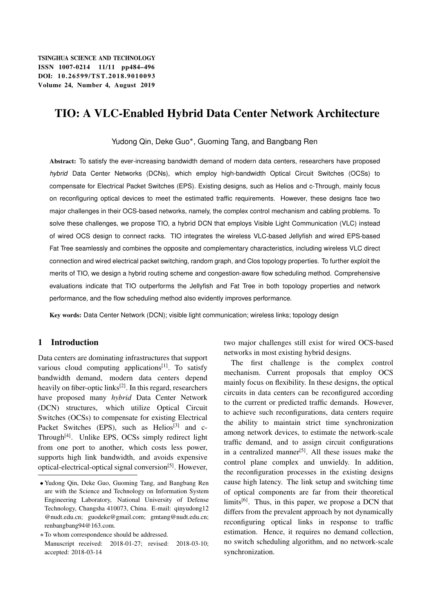# TIO: A VLC-Enabled Hybrid Data Center Network Architecture

Yudong Qin, Deke Guo\*, Guoming Tang, and Bangbang Ren

Abstract: To satisfy the ever-increasing bandwidth demand of modern data centers, researchers have proposed *hybrid* Data Center Networks (DCNs), which employ high-bandwidth Optical Circuit Switches (OCSs) to compensate for Electrical Packet Switches (EPS). Existing designs, such as Helios and c-Through, mainly focus on reconfiguring optical devices to meet the estimated traffic requirements. However, these designs face two major challenges in their OCS-based networks, namely, the complex control mechanism and cabling problems. To solve these challenges, we propose TIO, a hybrid DCN that employs Visible Light Communication (VLC) instead of wired OCS design to connect racks. TIO integrates the wireless VLC-based Jellyfish and wired EPS-based Fat Tree seamlessly and combines the opposite and complementary characteristics, including wireless VLC direct connection and wired electrical packet switching, random graph, and Clos topology properties. To further exploit the merits of TIO, we design a hybrid routing scheme and congestion-aware flow scheduling method. Comprehensive evaluations indicate that TIO outperforms the Jellyfish and Fat Tree in both topology properties and network performance, and the flow scheduling method also evidently improves performance.

Key words: Data Center Network (DCN); visible light communication; wireless links; topology design

# 1 Introduction

Data centers are dominating infrastructures that support various cloud computing applications<sup>[1]</sup>. To satisfy bandwidth demand, modern data centers depend heavily on fiber-optic links<sup>[2]</sup>. In this regard, researchers have proposed many *hybrid* Data Center Network (DCN) structures, which utilize Optical Circuit Switches (OCSs) to compensate for existing Electrical Packet Switches (EPS), such as Helios<sup>[3]</sup> and c-Through $[4]$ . Unlike EPS, OCSs simply redirect light from one port to another, which costs less power, supports high link bandwidth, and avoids expensive optical-electrical-optical signal conversion[5]. However, two major challenges still exist for wired OCS-based networks in most existing hybrid designs.

The first challenge is the complex control mechanism. Current proposals that employ OCS mainly focus on flexibility. In these designs, the optical circuits in data centers can be reconfigured according to the current or predicted traffic demands. However, to achieve such reconfigurations, data centers require the ability to maintain strict time synchronization among network devices, to estimate the network-scale traffic demand, and to assign circuit configurations in a centralized manner<sup>[5]</sup>. All these issues make the control plane complex and unwieldy. In addition, the reconfiguration processes in the existing designs cause high latency. The link setup and switching time of optical components are far from their theoretical limits $[6]$ . Thus, in this paper, we propose a DCN that differs from the prevalent approach by not dynamically reconfiguring optical links in response to traffic estimation. Hence, it requires no demand collection, no switch scheduling algorithm, and no network-scale synchronization.

Yudong Qin, Deke Guo, Guoming Tang, and Bangbang Ren are with the Science and Technology on Information System Engineering Laboratory, National University of Defense Technology, Changsha 410073, China. E-mail: qinyudong12 @nudt.edu.cn; guodeke@gmail.com; gmtang@nudt.edu.cn; renbangbang94@163.com.

To whom correspondence should be addressed. Manuscript received: 2018-01-27; revised: 2018-03-10; accepted: 2018-03-14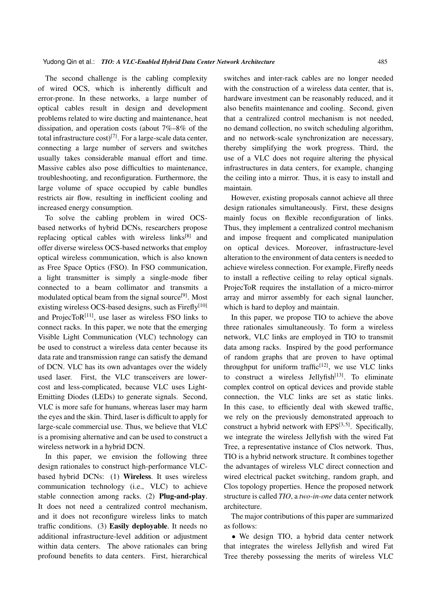The second challenge is the cabling complexity of wired OCS, which is inherently difficult and error-prone. In these networks, a large number of optical cables result in design and development problems related to wire ducting and maintenance, heat dissipation, and operation costs (about 7%–8% of the total infrastructure cost)<sup>[7]</sup>. For a large-scale data center, connecting a large number of servers and switches usually takes considerable manual effort and time. Massive cables also pose difficulties to maintenance, troubleshooting, and reconfiguration. Furthermore, the large volume of space occupied by cable bundles restricts air flow, resulting in inefficient cooling and increased energy consumption.

To solve the cabling problem in wired OCSbased networks of hybrid DCNs, researchers propose replacing optical cables with wireless  $links^{[8]}$  and offer diverse wireless OCS-based networks that employ optical wireless communication, which is also known as Free Space Optics (FSO). In FSO communication, a light transmitter is simply a single-mode fiber connected to a beam collimator and transmits a modulated optical beam from the signal source<sup>[9]</sup>. Most existing wireless OCS-based designs, such as  $Firefly<sup>[10]</sup>$ and ProjecTo $R^{[11]}$ , use laser as wireless FSO links to connect racks. In this paper, we note that the emerging Visible Light Communication (VLC) technology can be used to construct a wireless data center because its data rate and transmission range can satisfy the demand of DCN. VLC has its own advantages over the widely used laser. First, the VLC transceivers are lowercost and less-complicated, because VLC uses Light-Emitting Diodes (LEDs) to generate signals. Second, VLC is more safe for humans, whereas laser may harm the eyes and the skin. Third, laser is difficult to apply for large-scale commercial use. Thus, we believe that VLC is a promising alternative and can be used to construct a wireless network in a hybrid DCN.

In this paper, we envision the following three design rationales to construct high-performance VLCbased hybrid DCNs: (1) Wireless. It uses wireless communication technology (i.e., VLC) to achieve stable connection among racks. (2) Plug-and-play. It does not need a centralized control mechanism, and it does not reconfigure wireless links to match traffic conditions. (3) Easily deployable. It needs no additional infrastructure-level addition or adjustment within data centers. The above rationales can bring profound benefits to data centers. First, hierarchical switches and inter-rack cables are no longer needed with the construction of a wireless data center, that is, hardware investment can be reasonably reduced, and it also benefits maintenance and cooling. Second, given that a centralized control mechanism is not needed, no demand collection, no switch scheduling algorithm, and no network-scale synchronization are necessary, thereby simplifying the work progress. Third, the use of a VLC does not require altering the physical infrastructures in data centers, for example, changing the ceiling into a mirror. Thus, it is easy to install and maintain.

However, existing proposals cannot achieve all three design rationales simultaneously. First, these designs mainly focus on flexible reconfiguration of links. Thus, they implement a centralized control mechanism and impose frequent and complicated manipulation on optical devices. Moreover, infrastructure-level alteration to the environment of data centers is needed to achieve wireless connection. For example, Firefly needs to install a reflective ceiling to relay optical signals. ProjecToR requires the installation of a micro-mirror array and mirror assembly for each signal launcher, which is hard to deploy and maintain.

In this paper, we propose TIO to achieve the above three rationales simultaneously. To form a wireless network, VLC links are employed in TIO to transmit data among racks. Inspired by the good performance of random graphs that are proven to have optimal throughput for uniform traffic<sup>[12]</sup>, we use VLC links to construct a wireless Jellyfish $[13]$ . To eliminate complex control on optical devices and provide stable connection, the VLC links are set as static links. In this case, to efficiently deal with skewed traffic, we rely on the previously demonstrated approach to construct a hybrid network with  $EPS^{[3, 5]}$ . Specifically, we integrate the wireless Jellyfish with the wired Fat Tree, a representative instance of Clos network. Thus, TIO is a hybrid network structure. It combines together the advantages of wireless VLC direct connection and wired electrical packet switching, random graph, and Clos topology properties. Hence the proposed network structure is called *TIO*, a *two-in-one* data center network architecture.

The major contributions of this paper are summarized as follows:

 We design TIO, a hybrid data center network that integrates the wireless Jellyfish and wired Fat Tree thereby possessing the merits of wireless VLC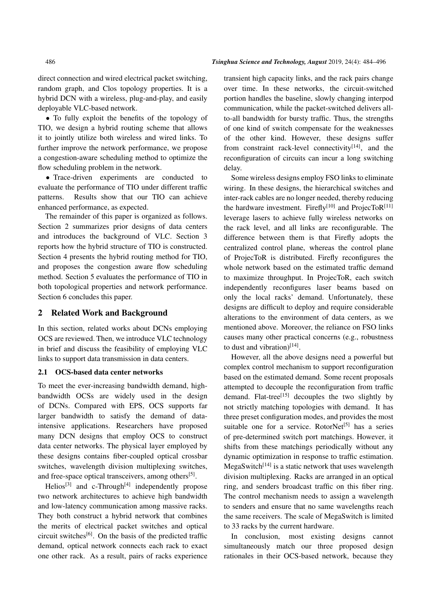direct connection and wired electrical packet switching, random graph, and Clos topology properties. It is a hybrid DCN with a wireless, plug-and-play, and easily deployable VLC-based network.

 To fully exploit the benefits of the topology of TIO, we design a hybrid routing scheme that allows it to jointly utilize both wireless and wired links. To further improve the network performance, we propose a congestion-aware scheduling method to optimize the flow scheduling problem in the network.

• Trace-driven experiments are conducted to evaluate the performance of TIO under different traffic patterns. Results show that our TIO can achieve enhanced performance, as expected.

The remainder of this paper is organized as follows. Section 2 summarizes prior designs of data centers and introduces the background of VLC. Section 3 reports how the hybrid structure of TIO is constructed. Section 4 presents the hybrid routing method for TIO, and proposes the congestion aware flow scheduling method. Section 5 evaluates the performance of TIO in both topological properties and network performance. Section 6 concludes this paper.

#### 2 Related Work and Background

In this section, related works about DCNs employing OCS are reviewed. Then, we introduce VLC technology in brief and discuss the feasibility of employing VLC links to support data transmission in data centers.

# 2.1 OCS-based data center networks

To meet the ever-increasing bandwidth demand, highbandwidth OCSs are widely used in the design of DCNs. Compared with EPS, OCS supports far larger bandwidth to satisfy the demand of dataintensive applications. Researchers have proposed many DCN designs that employ OCS to construct data center networks. The physical layer employed by these designs contains fiber-coupled optical crossbar switches, wavelength division multiplexing switches, and free-space optical transceivers, among others<sup>[5]</sup>.

Helios<sup>[3]</sup> and c-Through<sup>[4]</sup> independently propose two network architectures to achieve high bandwidth and low-latency communication among massive racks. They both construct a hybrid network that combines the merits of electrical packet switches and optical circuit switches<sup>[6]</sup>. On the basis of the predicted traffic demand, optical network connects each rack to exact one other rack. As a result, pairs of racks experience transient high capacity links, and the rack pairs change over time. In these networks, the circuit-switched portion handles the baseline, slowly changing interpod communication, while the packet-switched delivers allto-all bandwidth for bursty traffic. Thus, the strengths of one kind of switch compensate for the weaknesses of the other kind. However, these designs suffer from constraint rack-level connectivity $[14]$ , and the reconfiguration of circuits can incur a long switching delay.

Some wireless designs employ FSO links to eliminate wiring. In these designs, the hierarchical switches and inter-rack cables are no longer needed, thereby reducing the hardware investment. Firefly<sup>[10]</sup> and ProjecToR<sup>[11]</sup> leverage lasers to achieve fully wireless networks on the rack level, and all links are reconfigurable. The difference between them is that Firefly adopts the centralized control plane, whereas the control plane of ProjecToR is distributed. Firefly reconfigures the whole network based on the estimated traffic demand to maximize throughput. In ProjecToR, each switch independently reconfigures laser beams based on only the local racks' demand. Unfortunately, these designs are difficult to deploy and require considerable alterations to the environment of data centers, as we mentioned above. Moreover, the reliance on FSO links causes many other practical concerns (e.g., robustness to dust and vibration) $[14]$ .

However, all the above designs need a powerful but complex control mechanism to support reconfiguration based on the estimated demand. Some recent proposals attempted to decouple the reconfiguration from traffic demand. Flat-tree<sup>[15]</sup> decouples the two slightly by not strictly matching topologies with demand. It has three preset configuration modes, and provides the most suitable one for a service. RotorNet<sup>[5]</sup> has a series of pre-determined switch port matchings. However, it shifts from these matchings periodically without any dynamic optimization in response to traffic estimation. MegaSwitch<sup>[14]</sup> is a static network that uses wavelength division multiplexing. Racks are arranged in an optical ring, and senders broadcast traffic on this fiber ring. The control mechanism needs to assign a wavelength to senders and ensure that no same wavelengths reach the same receivers. The scale of MegaSwitch is limited to 33 racks by the current hardware.

In conclusion, most existing designs cannot simultaneously match our three proposed design rationales in their OCS-based network, because they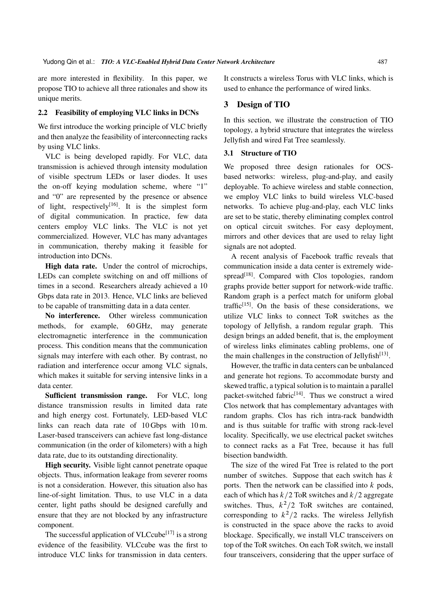are more interested in flexibility. In this paper, we propose TIO to achieve all three rationales and show its unique merits.

#### 2.2 Feasibility of employing VLC links in DCNs

We first introduce the working principle of VLC briefly and then analyze the feasibility of interconnecting racks by using VLC links.

VLC is being developed rapidly. For VLC, data transmission is achieved through intensity modulation of visible spectrum LEDs or laser diodes. It uses the on-off keying modulation scheme, where "1" and "0" are represented by the presence or absence of light, respectively<sup>[16]</sup>. It is the simplest form of digital communication. In practice, few data centers employ VLC links. The VLC is not yet commercialized. However, VLC has many advantages in communication, thereby making it feasible for introduction into DCNs.

High data rate. Under the control of microchips, LEDs can complete switching on and off millions of times in a second. Researchers already achieved a 10 Gbps data rate in 2013. Hence, VLC links are believed to be capable of transmitting data in a data center.

No interference. Other wireless communication methods, for example, 60 GHz, may generate electromagnetic interference in the communication process. This condition means that the communication signals may interfere with each other. By contrast, no radiation and interference occur among VLC signals, which makes it suitable for serving intensive links in a data center.

Sufficient transmission range. For VLC, long distance transmission results in limited data rate and high energy cost. Fortunately, LED-based VLC links can reach data rate of 10 Gbps with 10 m. Laser-based transceivers can achieve fast long-distance communication (in the order of kilometers) with a high data rate, due to its outstanding directionality.

High security. Visible light cannot penetrate opaque objects. Thus, information leakage from severer rooms is not a consideration. However, this situation also has line-of-sight limitation. Thus, to use VLC in a data center, light paths should be designed carefully and ensure that they are not blocked by any infrastructure component.

The successful application of VLCcube<sup>[17]</sup> is a strong evidence of the feasibility. VLCcube was the first to introduce VLC links for transmission in data centers. It constructs a wireless Torus with VLC links, which is used to enhance the performance of wired links.

# 3 Design of TIO

In this section, we illustrate the construction of TIO topology, a hybrid structure that integrates the wireless Jellyfish and wired Fat Tree seamlessly.

#### 3.1 Structure of TIO

We proposed three design rationales for OCSbased networks: wireless, plug-and-play, and easily deployable. To achieve wireless and stable connection, we employ VLC links to build wireless VLC-based networks. To achieve plug-and-play, each VLC links are set to be static, thereby eliminating complex control on optical circuit switches. For easy deployment, mirrors and other devices that are used to relay light signals are not adopted.

A recent analysis of Facebook traffic reveals that communication inside a data center is extremely widespread<sup>[18]</sup>. Compared with Clos topologies, random graphs provide better support for network-wide traffic. Random graph is a perfect match for uniform global traffic $[15]$ . On the basis of these considerations, we utilize VLC links to connect ToR switches as the topology of Jellyfish, a random regular graph. This design brings an added benefit, that is, the employment of wireless links eliminates cabling problems, one of the main challenges in the construction of Jellyfish<sup>[13]</sup>.

However, the traffic in data centers can be unbalanced and generate hot regions. To accommodate bursty and skewed traffic, a typical solution is to maintain a parallel packet-switched fabric<sup>[14]</sup>. Thus we construct a wired Clos network that has complementary advantages with random graphs. Clos has rich intra-rack bandwidth and is thus suitable for traffic with strong rack-level locality. Specifically, we use electrical packet switches to connect racks as a Fat Tree, because it has full bisection bandwidth.

The size of the wired Fat Tree is related to the port number of switches. Suppose that each switch has  $k$ ports. Then the network can be classified into  $k$  pods, each of which has  $k/2$  ToR switches and  $k/2$  aggregate switches. Thus,  $k^2/2$  ToR switches are contained, corresponding to  $k^2/2$  racks. The wireless Jellyfish is constructed in the space above the racks to avoid blockage. Specifically, we install VLC transceivers on top of the ToR switches. On each ToR switch, we install four transceivers, considering that the upper surface of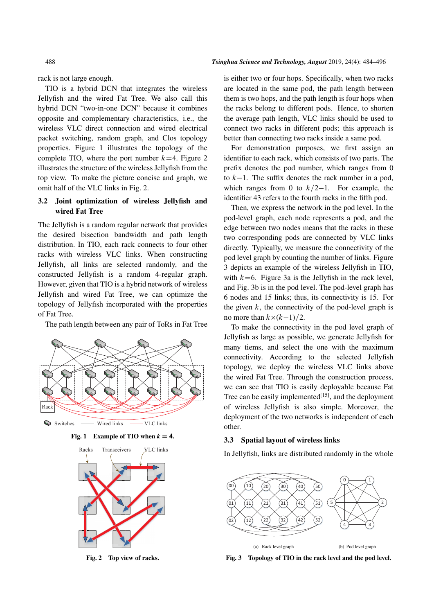rack is not large enough.

TIO is a hybrid DCN that integrates the wireless Jellyfish and the wired Fat Tree. We also call this hybrid DCN "two-in-one DCN" because it combines opposite and complementary characteristics, i.e., the wireless VLC direct connection and wired electrical packet switching, random graph, and Clos topology properties. Figure 1 illustrates the topology of the complete TIO, where the port number  $k=4$ . Figure 2 illustrates the structure of the wireless Jellyfish from the top view. To make the picture concise and graph, we omit half of the VLC links in Fig. 2.

# 3.2 Joint optimization of wireless Jellyfish and wired Fat Tree

The Jellyfish is a random regular network that provides the desired bisection bandwidth and path length distribution. In TIO, each rack connects to four other racks with wireless VLC links. When constructing Jellyfish, all links are selected randomly, and the constructed Jellyfish is a random 4-regular graph. However, given that TIO is a hybrid network of wireless Jellyfish and wired Fat Tree, we can optimize the topology of Jellyfish incorporated with the properties of Fat Tree.

The path length between any pair of ToRs in Fat Tree







Fig. 2 Top view of racks.

is either two or four hops. Specifically, when two racks are located in the same pod, the path length between them is two hops, and the path length is four hops when the racks belong to different pods. Hence, to shorten the average path length, VLC links should be used to connect two racks in different pods; this approach is better than connecting two racks inside a same pod.

For demonstration purposes, we first assign an identifier to each rack, which consists of two parts. The prefix denotes the pod number, which ranges from 0 to  $k-1$ . The suffix denotes the rack number in a pod, which ranges from 0 to  $k/2-1$ . For example, the identifier 43 refers to the fourth racks in the fifth pod.

Then, we express the network in the pod level. In the pod-level graph, each node represents a pod, and the edge between two nodes means that the racks in these two corresponding pods are connected by VLC links directly. Typically, we measure the connectivity of the pod level graph by counting the number of links. Figure 3 depicts an example of the wireless Jellyfish in TIO, with  $k=6$ . Figure 3a is the Jellyfish in the rack level, and Fig. 3b is in the pod level. The pod-level graph has 6 nodes and 15 links; thus, its connectivity is 15. For the given  $k$ , the connectivity of the pod-level graph is no more than  $k \times (k-1)/2$ .

To make the connectivity in the pod level graph of Jellyfish as large as possible, we generate Jellyfish for many tiems, and select the one with the maximum connectivity. According to the selected Jellyfish topology, we deploy the wireless VLC links above the wired Fat Tree. Through the construction process, we can see that TIO is easily deployable because Fat Tree can be easily implemented $[15]$ , and the deployment of wireless Jellyfish is also simple. Moreover, the deployment of the two networks is independent of each other.

#### 3.3 Spatial layout of wireless links

In Jellyfish, links are distributed randomly in the whole



Fig. 3 Topology of TIO in the rack level and the pod level.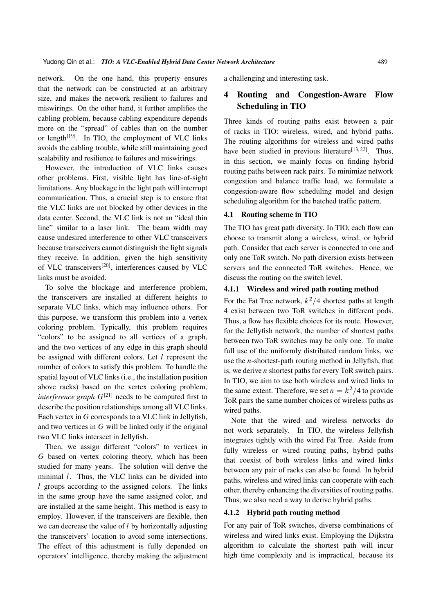network. On the one hand, this property ensures that the network can be constructed at an arbitrary size, and makes the network resilient to failures and miswirings. On the other hand, it further amplifies the cabling problem, because cabling expenditure depends more on the "spread" of cables than on the number or length $[19]$ . In TIO, the employment of VLC links avoids the cabling trouble, while still maintaining good scalability and resilience to failures and miswirings.

However, the introduction of VLC links causes other problems. First, visible light has line-of-sight limitations. Any blockage in the light path will interrupt communication. Thus, a crucial step is to ensure that the VLC links are not blocked by other devices in the data center. Second, the VLC link is not an "ideal thin line" similar to a laser link. The beam width may cause undesired interference to other VLC transceivers because transceivers cannot distinguish the light signals they receive. In addition, given the high sensitivity of VLC transceivers[20], interferences caused by VLC links must be avoided.

To solve the blockage and interference problem, the transceivers are installed at different heights to separate VLC links, which may influence others. For this purpose, we transform this problem into a vertex coloring problem. Typically, this problem requires "colors" to be assigned to all vertices of a graph, and the two vertices of any edge in this graph should be assigned with different colors. Let  $l$  represent the number of colors to satisfy this problem. To handle the spatial layout of VLC links (i.e., the installation position above racks) based on the vertex coloring problem, *interference graph*  $G^{[21]}$  needs to be computed first to describe the position relationships among all VLC links. Each vertex in G corresponds to a VLC link in Jellyfish, and two vertices in G will be linked only if the original two VLC links intersect in Jellyfish.

Then, we assign different "colors" to vertices in G based on vertex coloring theory, which has been studied for many years. The solution will derive the minimal *l*. Thus, the VLC links can be divided into l groups according to the assigned colors. The links in the same group have the same assigned color, and are installed at the same height. This method is easy to employ. However, if the transceivers are flexible, then we can decrease the value of *l* by horizontally adjusting the transceivers' location to avoid some intersections. The effect of this adjustment is fully depended on operators' intelligence, thereby making the adjustment a challenging and interesting task.

# 4 Routing and Congestion-Aware Flow Scheduling in TIO

Three kinds of routing paths exist between a pair of racks in TIO: wireless, wired, and hybrid paths. The routing algorithms for wireless and wired paths have been studied in previous literature<sup>[13,22]</sup>. Thus, in this section, we mainly focus on finding hybrid routing paths between rack pairs. To minimize network congestion and balance traffic load, we formulate a congestion-aware flow scheduling model and design scheduling algorithm for the batched traffic pattern.

#### 4.1 Routing scheme in TIO

The TIO has great path diversity. In TIO, each flow can choose to transmit along a wireless, wired, or hybrid path. Consider that each server is connected to one and only one ToR switch. No path diversion exists between servers and the connected ToR switches. Hence, we discuss the routing on the switch level.

#### 4.1.1 Wireless and wired path routing method

For the Fat Tree network,  $k^2/4$  shortest paths at length 4 exist between two ToR switches in different pods. Thus, a flow has flexible choices for its route. However, for the Jellyfish network, the number of shortest paths between two ToR switches may be only one. To make full use of the uniformly distributed random links, we use the  $n$ -shortest-path routing method in Jellyfish, that is, we derive  $n$  shortest paths for every ToR switch pairs. In TIO, we aim to use both wireless and wired links to the same extent. Therefore, we set  $n = k^2/4$  to provide ToR pairs the same number choices of wireless paths as wired paths.

Note that the wired and wireless networks do not work separately. In TIO, the wireless Jellyfish integrates tightly with the wired Fat Tree. Aside from fully wireless or wired routing paths, hybrid paths that coexist of both wireless links and wired links between any pair of racks can also be found. In hybrid paths, wireless and wired links can cooperate with each other, thereby enhancing the diversities of routing paths. Thus, we also need a way to derive hybrid paths.

#### 4.1.2 Hybrid path routing method

For any pair of ToR switches, diverse combinations of wireless and wired links exist. Employing the Dijkstra algorithm to calculate the shortest path will incur high time complexity and is impractical, because its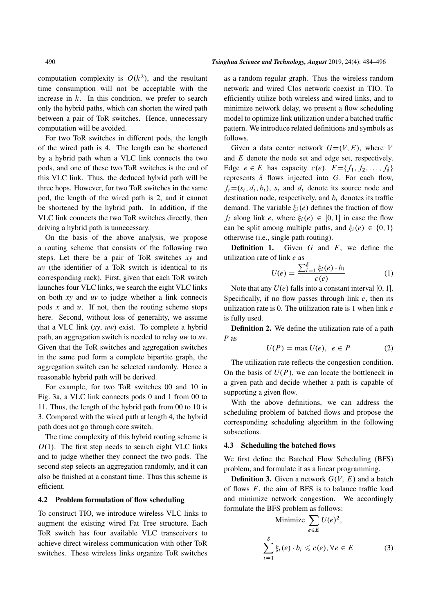computation complexity is  $O(k^2)$ , and the resultant time consumption will not be acceptable with the increase in  $k$ . In this condition, we prefer to search only the hybrid paths, which can shorten the wired path between a pair of ToR switches. Hence, unnecessary computation will be avoided.

For two ToR switches in different pods, the length of the wired path is 4. The length can be shortened by a hybrid path when a VLC link connects the two pods, and one of these two ToR switches is the end of this VLC link. Thus, the deduced hybrid path will be three hops. However, for two ToR switches in the same pod, the length of the wired path is 2, and it cannot be shortened by the hybrid path. In addition, if the VLC link connects the two ToR switches directly, then driving a hybrid path is unnecessary.

On the basis of the above analysis, we propose a routing scheme that consists of the following two steps. Let there be a pair of ToR switches *xy* and *uv* (the identifier of a ToR switch is identical to its corresponding rack). First, given that each ToR switch launches four VLC links, we search the eight VLC links on both *xy* and *uv* to judge whether a link connects pods  $x$  and  $u$ . If not, then the routing scheme stops here. Second, without loss of generality, we assume that a VLC link (*xy*, *uw*) exist. To complete a hybrid path, an aggregation switch is needed to relay *uw* to *uv*. Given that the ToR switches and aggregation switches in the same pod form a complete bipartite graph, the aggregation switch can be selected randomly. Hence a reasonable hybrid path will be derived.

For example, for two ToR switches 00 and 10 in Fig. 3a, a VLC link connects pods 0 and 1 from 00 to 11. Thus, the length of the hybrid path from 00 to 10 is 3. Compared with the wired path at length 4, the hybrid path does not go through core switch.

The time complexity of this hybrid routing scheme is  $O(1)$ . The first step needs to search eight VLC links and to judge whether they connect the two pods. The second step selects an aggregation randomly, and it can also be finished at a constant time. Thus this scheme is efficient.

#### 4.2 Problem formulation of flow scheduling

To construct TIO, we introduce wireless VLC links to augment the existing wired Fat Tree structure. Each ToR switch has four available VLC transceivers to achieve direct wireless communication with other ToR switches. These wireless links organize ToR switches as a random regular graph. Thus the wireless random network and wired Clos network coexist in TIO. To efficiently utilize both wireless and wired links, and to minimize network delay, we present a flow scheduling model to optimize link utilization under a batched traffic pattern. We introduce related definitions and symbols as follows.

Given a data center network  $G=(V, E)$ , where V and E denote the node set and edge set, respectively. Edge  $e \in E$  has capacity  $c(e)$ .  $F = \{f_1, f_2, \ldots, f_\delta\}$ represents  $\delta$  flows injected into G. For each flow,  $f_i = (s_i, d_i, b_i)$ ,  $s_i$  and  $d_i$  denote its source node and destination node, respectively, and  $b_i$  denotes its traffic demand. The variable  $\xi_i(e)$  defines the fraction of flow  $f_i$  along link e, where  $\xi_i(e) \in [0, 1]$  in case the flow can be split among multiple paths, and  $\xi_i(e) \in \{0, 1\}$ otherwise (i.e., single path routing).

**Definition 1.** Given  $G$  and  $F$ , we define the utilization rate of link e as

$$
U(e) = \frac{\sum_{i=1}^{\delta} \xi_i(e) \cdot b_i}{c(e)} \tag{1}
$$

Note that any  $U(e)$  falls into a constant interval [0, 1]. Specifically, if no flow passes through link  $e$ , then its utilization rate is 0. The utilization rate is 1 when link e is fully used.

Definition 2. We define the utilization rate of a path *P* as

$$
U(P) = \max U(e), \ e \in P \tag{2}
$$

The utilization rate reflects the congestion condition. On the basis of  $U(P)$ , we can locate the bottleneck in a given path and decide whether a path is capable of supporting a given flow.

With the above definitions, we can address the scheduling problem of batched flows and propose the corresponding scheduling algorithm in the following subsections.

#### 4.3 Scheduling the batched flows

We first define the Batched Flow Scheduling (BFS) problem, and formulate it as a linear programming.

**Definition 3.** Given a network  $G(V, E)$  and a batch of flows  $F$ , the aim of BFS is to balance traffic load and minimize network congestion. We accordingly formulate the BFS problem as follows:

Minimize 
$$
\sum_{e \in E} U(e)^2
$$
,  
\n
$$
\sum_{i=1}^{8} \xi_i(e) \cdot b_i \leq c(e), \forall e \in E
$$
\n(3)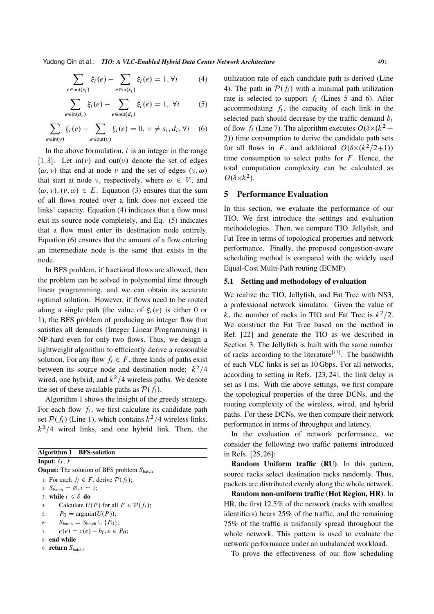Yudong Qin et al.: *TIO: A VLC-Enabled Hybrid Data Center Network Architecture* 491

$$
\sum_{e \in \text{out}(s_i)} \xi_i(e) - \sum_{e \in \text{in}(s_i)} \xi_i(e) = 1, \forall i \tag{4}
$$

$$
\sum_{e \in \text{in}(d_i)} \xi_i(e) - \sum_{e \in \text{out}(d_i)} \xi_i(e) = 1, \ \forall i \tag{5}
$$

$$
\sum_{e \in \text{in}(v)} \xi_i(e) - \sum_{e \in \text{out}(v)} \xi_i(e) = 0, \ v \neq s_i, d_i, \forall i \quad (6)
$$

In the above formulation,  $i$  is an integer in the range [1,  $\delta$ ]. Let in(v) and out(v) denote the set of edges  $(\omega, \nu)$  that end at node  $\nu$  and the set of edges  $(\nu, \omega)$ that start at node v, respectively, where  $\omega \in V$ , and  $(\omega, \nu), (\nu, \omega) \in E$ . Equation (3) ensures that the sum of all flows routed over a link does not exceed the links' capacity. Equation (4) indicates that a flow must exit its source node completely, and Eq. (5) indicates that a flow must enter its destination node entirely. Equation (6) ensures that the amount of a flow entering an intermediate node is the same that exists in the node.

In BFS problem, if fractional flows are allowed, then the problem can be solved in polynomial time through linear programming, and we can obtain its accurate optimal solution. However, if flows need to be routed along a single path (the value of  $\xi_i(e)$  is either 0 or 1), the BFS problem of producing an integer flow that satisfies all demands (Integer Linear Programming) is NP-hard even for only two flows. Thus, we design a lightweight algorithm to efficiently derive a reasonable solution. For any flow  $f_i \in F$ , three kinds of paths exist between its source node and destination node:  $k^2/4$ wired, one hybrid, and  $k^2/4$  wireless paths. We denote the set of these available paths as  $\mathcal{P}(f_i)$ .

Algorithm 1 shows the insight of the greedy strategy. For each flow  $f_i$ , we first calculate its candidate path set  $P(f_i)$  (Line 1), which contains  $k^2/4$  wireless links,  $k^2/4$  wired links, and one hybrid link. Then, the

| <b>Algorithm 1</b> BFS-solution                              |
|--------------------------------------------------------------|
| <b>Input:</b> $G$ , $F$                                      |
| <b>Ouput:</b> The solution of BFS problem $S_{\text{batch}}$ |
| 1: For each $f_i \in F$ , derive $\mathcal{P}(f_i)$ ;        |
| 2: $S_{\text{batch}} = \emptyset$ , $i = 1$ ;                |
| 3: while $i \leq \delta$ do                                  |
| Calculate $U(P)$ for all $P \in \mathcal{P}(f_i)$ ;<br>4:    |
| 5: $P_0 = \argmin(U(P));$                                    |
| 6: $S_{\text{batch}} = S_{\text{batch}} \cup \{P_0\}$        |
| $c(e) = c(e) - b_i, e \in P_0$ ;<br>7:                       |
| 8: end while                                                 |
| 9: <b>return</b> $S_{\text{batch}}$ :                        |

utilization rate of each candidate path is derived (Line 4). The path in  $\mathcal{P}(f_i)$  with a minimal path utilization rate is selected to support  $f_i$  (Lines 5 and 6). After accommodating  $f_i$ , the capacity of each link in the selected path should decrease by the traffic demand  $b_i$ of flow  $f_i$  (Line 7). The algorithm executes  $O(\delta \times (k^2 +$ 2)) time consumption to derive the candidate path sets for all flows in F, and additional  $O(\delta \times (k^2/2+1))$ time consumption to select paths for  $F$ . Hence, the total computation complexity can be calculated as  $O(\delta \times k^2)$ .

#### 5 Performance Evaluation

In this section, we evaluate the performance of our TIO. We first introduce the settings and evaluation methodologies. Then, we compare TIO, Jellyfish, and Fat Tree in terms of topological properties and network performance. Finally, the proposed congestion-aware scheduling method is compared with the widely used Equal-Cost Multi-Path routing (ECMP).

#### 5.1 Setting and methodology of evaluation

We realize the TIO, Jellyfish, and Fat Tree with NS3, a professional network simulator. Given the value of k, the number of racks in TIO and Fat Tree is  $k^2/2$ . We construct the Fat Tree based on the method in Ref. [22] and generate the TIO as we described in Section 3. The Jellyfish is built with the same number of racks according to the literature<sup>[13]</sup>. The bandwidth of each VLC links is set as 10 Gbps. For all networks, according to setting in Refs. [23, 24], the link delay is set as 1 ms. With the above settings, we first compare the topological properties of the three DCNs, and the routing complexity of the wireless, wired, and hybrid paths. For these DCNs, we then compare their network performance in terms of throughput and latency.

In the evaluation of network performance, we consider the following two traffic patterns introduced in Refs. [25, 26]:

Random Uniform traffic (RU). In this pattern, source racks select destination racks randomly. Thus, packets are distributed evenly along the whole network.

Random non-uniform traffic (Hot Region, HR). In HR, the first 12.5% of the network (racks with smallest identifiers) bears 25% of the traffic, and the remaining 75% of the traffic is uniformly spread throughout the whole network. This pattern is used to evaluate the network performance under an unbalanced workload.

To prove the effectiveness of our flow scheduling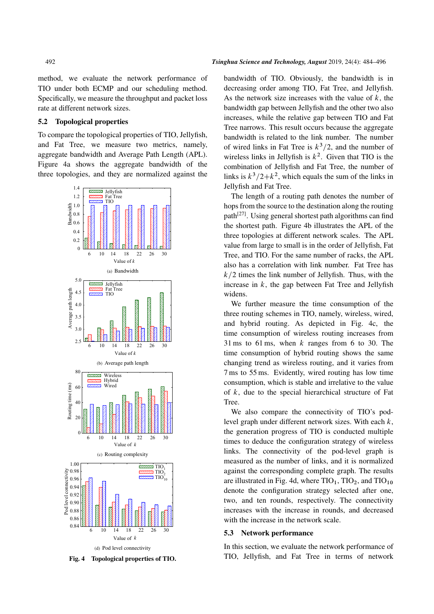method, we evaluate the network performance of TIO under both ECMP and our scheduling method. Specifically, we measure the throughput and packet loss rate at different network sizes.

#### 5.2 Topological properties

To compare the topological properties of TIO, Jellyfish, and Fat Tree, we measure two metrics, namely, aggregate bandwidth and Average Path Length (APL). Figure 4a shows the aggregate bandwidth of the three topologies, and they are normalized against the



Fig. 4 Topological properties of TIO.

bandwidth of TIO. Obviously, the bandwidth is in decreasing order among TIO, Fat Tree, and Jellyfish. As the network size increases with the value of  $k$ , the bandwidth gap between Jellyfish and the other two also increases, while the relative gap between TIO and Fat Tree narrows. This result occurs because the aggregate bandwidth is related to the link number. The number of wired links in Fat Tree is  $k^3/2$ , and the number of wireless links in Jellyfish is  $k^2$ . Given that TIO is the combination of Jellyfish and Fat Tree, the number of links is  $k^3/2 + k^2$ , which equals the sum of the links in Jellyfish and Fat Tree.

The length of a routing path denotes the number of hops from the source to the destination along the routing path<sup>[27]</sup>. Using general shortest path algorithms can find the shortest path. Figure 4b illustrates the APL of the three topologies at different network scales. The APL value from large to small is in the order of Jellyfish, Fat Tree, and TIO. For the same number of racks, the APL also has a correlation with link number. Fat Tree has  $k/2$  times the link number of Jellyfish. Thus, with the increase in  $k$ , the gap between Fat Tree and Jellyfish widens.

We further measure the time consumption of the three routing schemes in TIO, namely, wireless, wired, and hybrid routing. As depicted in Fig. 4c, the time consumption of wireless routing increases from 31 ms to 61 ms, when k ranges from 6 to 30. The time consumption of hybrid routing shows the same changing trend as wireless routing, and it varies from 7 ms to 55 ms. Evidently, wired routing has low time consumption, which is stable and irrelative to the value of  $k$ , due to the special hierarchical structure of Fat Tree.

We also compare the connectivity of TIO's podlevel graph under different network sizes. With each  $k$ , the generation progress of TIO is conducted multiple times to deduce the configuration strategy of wireless links. The connectivity of the pod-level graph is measured as the number of links, and it is normalized against the corresponding complete graph. The results are illustrated in Fig. 4d, where  $TIO<sub>1</sub>$ ,  $TIO<sub>2</sub>$ , and  $TIO<sub>10</sub>$ denote the configuration strategy selected after one, two, and ten rounds, respectively. The connectivity increases with the increase in rounds, and decreased with the increase in the network scale.

#### 5.3 Network performance

In this section, we evaluate the network performance of TIO, Jellyfish, and Fat Tree in terms of network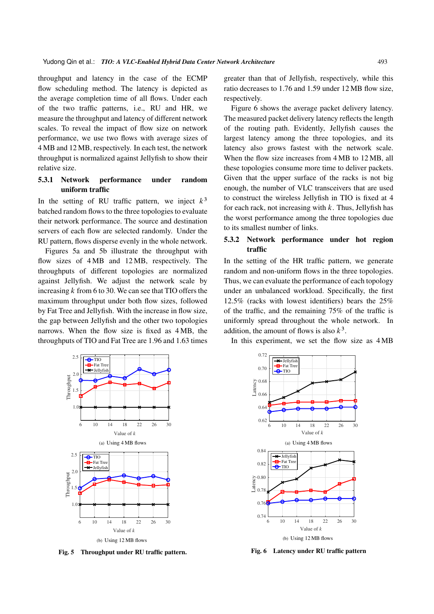throughput and latency in the case of the ECMP flow scheduling method. The latency is depicted as the average completion time of all flows. Under each of the two traffic patterns, i.e., RU and HR, we measure the throughput and latency of different network scales. To reveal the impact of flow size on network performance, we use two flows with average sizes of 4 MB and 12 MB, respectively. In each test, the network throughput is normalized against Jellyfish to show their relative size.

# 5.3.1 Network performance under random uniform traffic

In the setting of RU traffic pattern, we inject  $k^3$ batched random flows to the three topologies to evaluate their network performance. The source and destination servers of each flow are selected randomly. Under the RU pattern, flows disperse evenly in the whole network.

Figures 5a and 5b illustrate the throughput with flow sizes of 4 MB and 12 MB, respectively. The throughputs of different topologies are normalized against Jellyfish. We adjust the network scale by increasing  $k$  from 6 to 30. We can see that TIO offers the maximum throughput under both flow sizes, followed by Fat Tree and Jellyfish. With the increase in flow size, the gap between Jellyfish and the other two topologies narrows. When the flow size is fixed as 4 MB, the throughputs of TIO and Fat Tree are 1.96 and 1.63 times



Fig. 5 Throughput under RU traffic pattern.

greater than that of Jellyfish, respectively, while this ratio decreases to 1.76 and 1.59 under 12 MB flow size, respectively.

Figure 6 shows the average packet delivery latency. The measured packet delivery latency reflects the length of the routing path. Evidently, Jellyfish causes the largest latency among the three topologies, and its latency also grows fastest with the network scale. When the flow size increases from 4 MB to 12 MB, all these topologies consume more time to deliver packets. Given that the upper surface of the racks is not big enough, the number of VLC transceivers that are used to construct the wireless Jellyfish in TIO is fixed at 4 for each rack, not increasing with  $k$ . Thus, Jellyfish has the worst performance among the three topologies due to its smallest number of links.

# 5.3.2 Network performance under hot region traffic

In the setting of the HR traffic pattern, we generate random and non-uniform flows in the three topologies. Thus, we can evaluate the performance of each topology under an unbalanced workload. Specifically, the first 12.5% (racks with lowest identifiers) bears the 25% of the traffic, and the remaining 75% of the traffic is uniformly spread throughout the whole network. In addition, the amount of flows is also  $k^3$ .

In this experiment, we set the flow size as 4 MB



Fig. 6 Latency under RU traffic pattern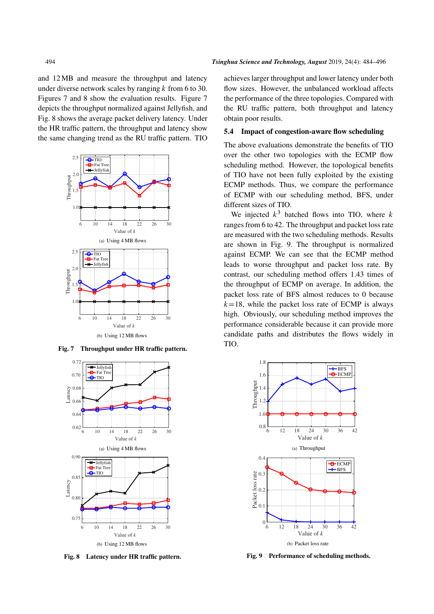and 12 MB and measure the throughput and latency under diverse network scales by ranging  $k$  from 6 to 30. Figures 7 and 8 show the evaluation results. Figure 7 depicts the throughput normalized against Jellyfish, and Fig. 8 shows the average packet delivery latency. Under the HR traffic pattern, the throughput and latency show the same changing trend as the RU traffic pattern. TIO



Fig. 7 Throughput under HR traffic pattern.



Fig. 8 Latency under HR traffic pattern.

achieves larger throughput and lower latency under both flow sizes. However, the unbalanced workload affects the performance of the three topologies. Compared with the RU traffic pattern, both throughput and latency obtain poor results.

#### 5.4 Impact of congestion-aware flow scheduling

The above evaluations demonstrate the benefits of TIO over the other two topologies with the ECMP flow scheduling method. However, the topological benefits of TIO have not been fully exploited by the existing ECMP methods. Thus, we compare the performance of ECMP with our scheduling method, BFS, under different sizes of TIO.

We injected  $k^3$  batched flows into TIO, where k ranges from 6 to 42. The throughput and packet loss rate are measured with the two scheduling methods. Results are shown in Fig. 9. The throughput is normalized against ECMP. We can see that the ECMP method leads to worse throughput and packet loss rate. By contrast, our scheduling method offers 1.43 times of the throughput of ECMP on average. In addition, the packet loss rate of BFS almost reduces to 0 because  $k=18$ , while the packet loss rate of ECMP is always high. Obviously, our scheduling method improves the performance considerable because it can provide more candidate paths and distributes the flows widely in TIO.



Fig. 9 Performance of scheduling methods.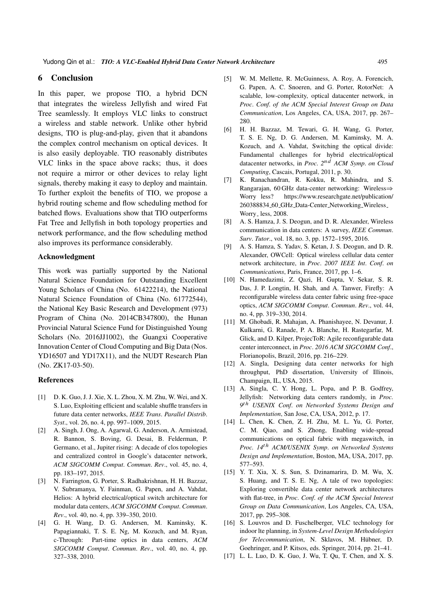# 6 Conclusion

In this paper, we propose TIO, a hybrid DCN that integrates the wireless Jellyfish and wired Fat Tree seamlessly. It employs VLC links to construct a wireless and stable network. Unlike other hybrid designs, TIO is plug-and-play, given that it abandons the complex control mechanism on optical devices. It is also easily deployable. TIO reasonably distributes VLC links in the space above racks; thus, it does not require a mirror or other devices to relay light signals, thereby making it easy to deploy and maintain. To further exploit the benefits of TIO, we propose a hybrid routing scheme and flow scheduling method for batched flows. Evaluations show that TIO outperforms Fat Tree and Jellyfish in both topology properties and network performance, and the flow scheduling method also improves its performance considerably.

#### Acknowledgment

This work was partially supported by the National Natural Science Foundation for Outstanding Excellent Young Scholars of China (No. 61422214), the National Natural Science Foundation of China (No. 61772544), the National Key Basic Research and Development (973) Program of China (No. 2014CB347800), the Hunan Provincial Natural Science Fund for Distinguished Young Scholars (No. 2016JJ1002), the Guangxi Cooperative Innovation Center of Cloud Computing and Big Data (Nos. YD16507 and YD17X11), and the NUDT Research Plan (No. ZK17-03-50).

#### References

- [1] D. K. Guo, J. J. Xie, X. L. Zhou, X. M. Zhu, W. Wei, and X. S. Luo, Exploiting efficient and scalable shuffle transfers in future data center networks, *IEEE Trans*. *Parallel Distrib*. *Syst*., vol. 26, no. 4, pp. 997–1009, 2015.
- [2] A. Singh, J. Ong, A. Agarwal, G. Anderson, A. Armistead, R. Bannon, S. Boving, G. Desai, B. Felderman, P. Germano, et al., Jupiter rising: A decade of clos topologies and centralized control in Google's datacenter network, *ACM SIGCOMM Comput*. *Commun*. *Rev*., vol. 45, no. 4, pp. 183–197, 2015.
- [3] N. Farrington, G. Porter, S. Radhakrishnan, H. H. Bazzaz, V. Subramanya, Y. Fainman, G. Papen, and A. Vahdat, Helios: A hybrid electrical/optical switch architecture for modular data centers, *ACM SIGCOMM Comput*. *Commun*. *Rev*., vol. 40, no. 4, pp. 339–350, 2010.
- [4] G. H. Wang, D. G. Andersen, M. Kaminsky, K. Papagiannaki, T. S. E. Ng, M. Kozuch, and M. Ryan, c-Through: Part-time optics in data centers, *ACM SIGCOMM Comput*. *Commun*. *Rev*., vol. 40, no. 4, pp. 327–338, 2010.
- [5] W. M. Mellette, R. McGuinness, A. Roy, A. Forencich, G. Papen, A. C. Snoeren, and G. Porter, RotorNet: A scalable, low-complexity, optical datacenter network, in *Proc*. *Conf*. *of the ACM Special Interest Group on Data Communication*, Los Angeles, CA, USA, 2017, pp. 267– 280.
- [6] H. H. Bazzaz, M. Tewari, G. H. Wang, G. Porter, T. S. E. Ng, D. G. Andersen, M. Kaminsky, M. A. Kozuch, and A. Vahdat, Switching the optical divide: Fundamental challenges for hybrid electrical/optical datacenter networks, in *Proc. 2*nd *ACM Symp*. *on Cloud Computing*, Cascais, Portugal, 2011, p. 30.
- [7] K. Ranachandran, R. Kokku, R. Mahindra, and S. Rangarajan, 60 GHz data-center networking: Wireless $\Rightarrow$ Worry less? https://www.researchgate.net/publication/ 260388834 60 GHz Data-Center Networking Wireless Worry less, 2008.
- [8] A. S. Hamza, J. S. Deogun, and D. R. Alexander, Wireless communication in data centers: A survey, *IEEE Commun*. *Surv*. *Tutor*., vol. 18, no. 3, pp. 1572–1595, 2016.
- [9] A. S. Hamza, S. Yadav, S. Ketan, J. S. Deogun, and D. R. Alexander, OWCell: Optical wireless cellular data center network architecture, in *Proc*. *2007 IEEE Int*. *Conf*. *on Communications*, Paris, France, 2017, pp. 1–6.
- [10] N. Hamedazimi, Z. Qazi, H. Gupta, V. Sekar, S. R. Das, J. P. Longtin, H. Shah, and A. Tanwer, Firefly: A reconfigurable wireless data center fabric using free-space optics, *ACM SIGCOMM Comput*. *Commun*. *Rev*., vol. 44, no. 4, pp. 319–330, 2014.
- [11] M. Ghobadi, R. Mahajan, A. Phanishayee, N. Devanur, J. Kulkarni, G. Ranade, P. A. Blanche, H. Rastegarfar, M. Glick, and D. Kilper, ProjecToR: Agile reconfigurable data center interconnect, in *Proc*. *2016 ACM SIGCOMM Conf*., Florianopolis, Brazil, 2016, pp. 216–229.
- [12] A. Singla, Designing data center networks for high throughput, PhD dissertation, University of Illinois, Champaign, IL, USA, 2015.
- [13] A. Singla, C. Y. Hong, L. Popa, and P. B. Godfrey, Jellyfish: Networking data centers randomly, in *Proc. 9* th *USENIX Conf*. *on Networked Systems Design and Implementation*, San Jose, CA, USA, 2012, p. 17.
- [14] L. Chen, K. Chen, Z. H. Zhu, M. L. Yu, G. Porter, C. M. Qiao, and S. Zhong, Enabling wide-spread communications on optical fabric with megaswitch, in *Proc. 14*th *ACM/USENIX Symp*. *on Networked Systems Design and Implementation*, Boston, MA, USA, 2017, pp. 577–593.
- [15] Y. T. Xia, X. S. Sun, S. Dzinamarira, D. M. Wu, X. S. Huang, and T. S. E. Ng, A tale of two topologies: Exploring convertible data center network architectures with flat-tree, in *Proc*. *Conf*. *of the ACM Special Interest Group on Data Communication*, Los Angeles, CA, USA, 2017, pp. 295–308.
- [16] S. Louvros and D. Fuschelberger, VLC technology for indoor lte planning, in *System-Level Design Methodologies for Telecommunication*, N. Sklavos, M. Hübner, D. Goehringer, and P. Kitsos, eds. Springer, 2014, pp. 21–41.
- [17] L. L. Luo, D. K. Guo, J. Wu, T. Qu, T. Chen, and X. S.